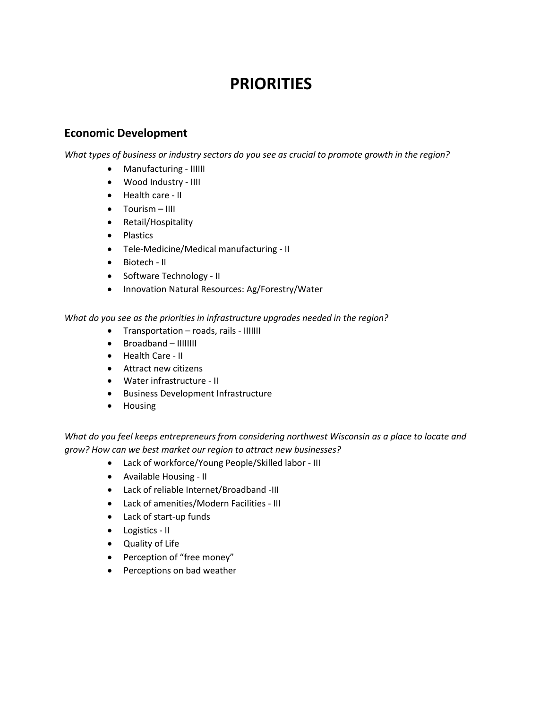## **PRIORITIES**

## **Economic Development**

*What types of business or industry sectors do you see as crucial to promote growth in the region?*

- Manufacturing IIIIII
- Wood Industry IIII
- Health care II
- Tourism IIII
- Retail/Hospitality
- Plastics
- Tele-Medicine/Medical manufacturing II
- Biotech II
- Software Technology II
- Innovation Natural Resources: Ag/Forestry/Water

*What do you see as the priorities in infrastructure upgrades needed in the region?*

- Transportation roads, rails IIIIIII
- Broadband IIIIIIII
- Health Care II
- Attract new citizens
- Water infrastructure II
- Business Development Infrastructure
- Housing

*What do you feel keeps entrepreneursfrom considering northwest Wisconsin as a place to locate and grow? How can we best market our region to attract new businesses?*

- Lack of workforce/Young People/Skilled labor III
- Available Housing II
- Lack of reliable Internet/Broadband -III
- Lack of amenities/Modern Facilities III
- Lack of start-up funds
- Logistics II
- Quality of Life
- Perception of "free money"
- Perceptions on bad weather